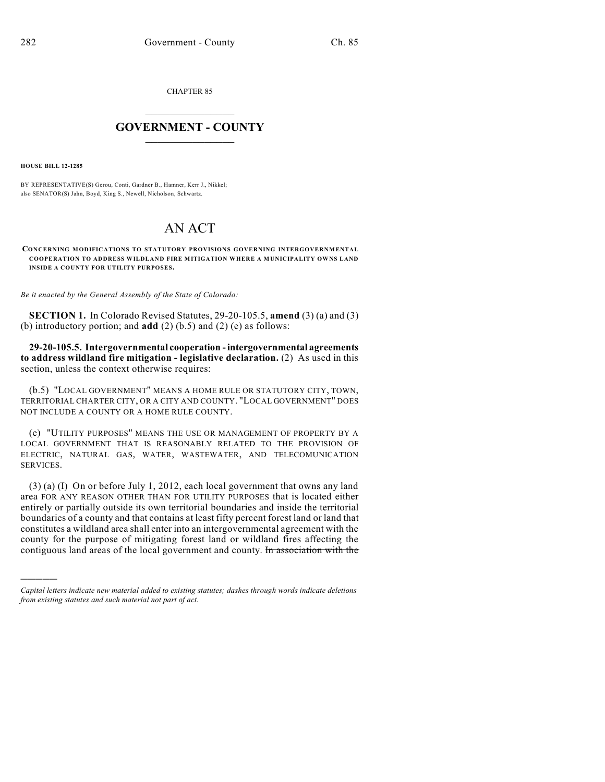CHAPTER 85

## $\overline{\phantom{a}}$  . The set of the set of the set of the set of the set of the set of the set of the set of the set of the set of the set of the set of the set of the set of the set of the set of the set of the set of the set o **GOVERNMENT - COUNTY**  $\_$

**HOUSE BILL 12-1285**

)))))

BY REPRESENTATIVE(S) Gerou, Conti, Gardner B., Hamner, Kerr J., Nikkel; also SENATOR(S) Jahn, Boyd, King S., Newell, Nicholson, Schwartz.

## AN ACT

**CONCERNING MODIFICATIONS TO STATUTORY PROVISIONS GOVERNING INTERGOVERNMENTAL COOPERATION TO ADDRESS WILDLAND FIRE MITIGATION WHERE A MUNICIPALITY OWNS LAND INSIDE A COUNTY FOR UTILITY PURPOSES.**

*Be it enacted by the General Assembly of the State of Colorado:*

**SECTION 1.** In Colorado Revised Statutes, 29-20-105.5, **amend** (3) (a) and (3) (b) introductory portion; and **add** (2) (b.5) and (2) (e) as follows:

**29-20-105.5. Intergovernmental cooperation - intergovernmental agreements to address wildland fire mitigation - legislative declaration.** (2) As used in this section, unless the context otherwise requires:

(b.5) "LOCAL GOVERNMENT" MEANS A HOME RULE OR STATUTORY CITY, TOWN, TERRITORIAL CHARTER CITY, OR A CITY AND COUNTY. "LOCAL GOVERNMENT" DOES NOT INCLUDE A COUNTY OR A HOME RULE COUNTY.

(e) "UTILITY PURPOSES" MEANS THE USE OR MANAGEMENT OF PROPERTY BY A LOCAL GOVERNMENT THAT IS REASONABLY RELATED TO THE PROVISION OF ELECTRIC, NATURAL GAS, WATER, WASTEWATER, AND TELECOMUNICATION SERVICES.

(3) (a) (I) On or before July 1, 2012, each local government that owns any land area FOR ANY REASON OTHER THAN FOR UTILITY PURPOSES that is located either entirely or partially outside its own territorial boundaries and inside the territorial boundaries of a county and that contains at least fifty percent forest land or land that constitutes a wildland area shall enter into an intergovernmental agreement with the county for the purpose of mitigating forest land or wildland fires affecting the contiguous land areas of the local government and county. In association with the

*Capital letters indicate new material added to existing statutes; dashes through words indicate deletions from existing statutes and such material not part of act.*